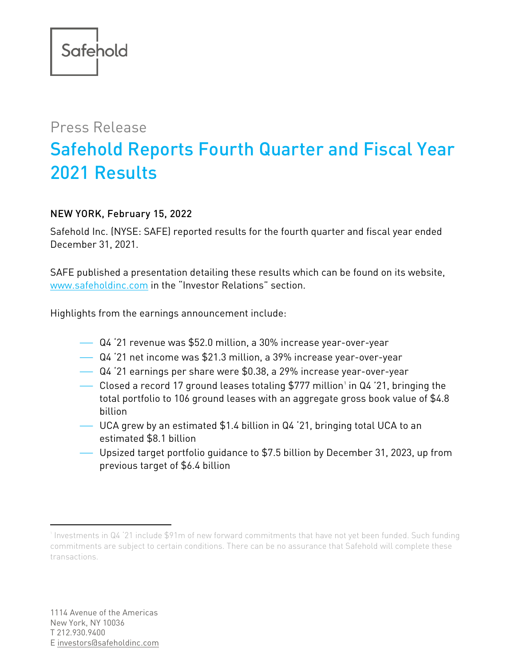## Press Release Safehold Reports Fourth Quarter and Fiscal Year 2021 Results

## NEW YORK, February 15, 2022

Safehold Inc. (NYSE: SAFE) reported results for the fourth quarter and fiscal year ended December 31, 2021.

SAFE published a presentation detailing these results which can be found on its website, [www.safeholdinc.com](http://www.safeholdinc.com/) in the "Investor Relations" section.

Highlights from the earnings announcement include:

- Q4 '21 revenue was \$52.0 million, a 30% increase year-over-year
- Q4 '21 net income was \$21.3 million, a 39% increase year-over-year
- Q4 '21 earnings per share were \$0.38, a 29% increase year-over-year
- $\hspace{0.1mm}$  $\hspace{0.1mm}$  $\hspace{0.1mm}$  Closed a record 17 ground leases totaling \$777 million' in Q4 '21, bringing the total portfolio to 106 ground leases with an aggregate gross book value of \$4.8 billion
- UCA grew by an estimated \$1.4 billion in Q4 '21, bringing total UCA to an estimated \$8.1 billion
- Upsized target portfolio guidance to \$7.5 billion by December 31, 2023, up from previous target of \$6.4 billion

<span id="page-0-0"></span><sup>1</sup> Investments in Q4 '21 include \$91m of new forward commitments that have not yet been funded. Such funding commitments are subject to certain conditions. There can be no assurance that Safehold will complete these transactions.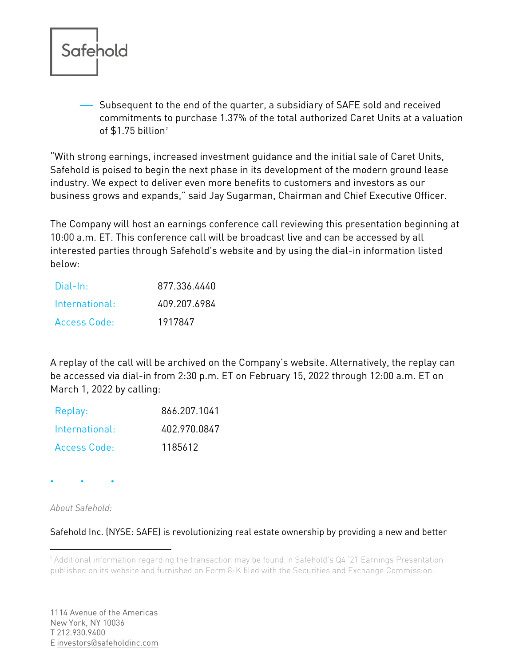

 Subsequent to the end of the quarter, a subsidiary of SAFE sold and received commitments to purchase 1.37% of the total authorized Caret Units at a valuation of  $$1.75$  billion<sup>[2](#page-1-0)</sup>

"With strong earnings, increased investment guidance and the initial sale of Caret Units, Safehold is poised to begin the next phase in its development of the modern ground lease industry. We expect to deliver even more benefits to customers and investors as our business grows and expands," said Jay Sugarman, Chairman and Chief Executive Officer.

The Company will host an earnings conference call reviewing this presentation beginning at 10:00 a.m. ET. This conference call will be broadcast live and can be accessed by all interested parties through Safehold's website and by using the dial-in information listed below:

| Dial-In:            | 877.336.4440 |
|---------------------|--------------|
| International·      | 409.207.6984 |
| <b>Access Code:</b> | 1917847      |

A replay of the call will be archived on the Company's website. Alternatively, the replay can be accessed via dial-in from 2:30 p.m. ET on February 15, 2022 through 12:00 a.m. ET on March 1, 2022 by calling:

| Replay:             | 866.207.1041 |
|---------------------|--------------|
| International:      | 402.970.0847 |
| <b>Access Code:</b> | 1185612      |

 $\bullet \qquad \qquad \bullet \qquad \qquad \bullet$ 

*About Safehold:*

Safehold Inc. (NYSE: SAFE) is revolutionizing real estate ownership by providing a new and better

<span id="page-1-0"></span><sup>2</sup> Additional information regarding the transaction may be found in Safehold's Q4 '21 Earnings Presentation published on its website and furnished on Form 8-K filed with the Securities and Exchange Commission.